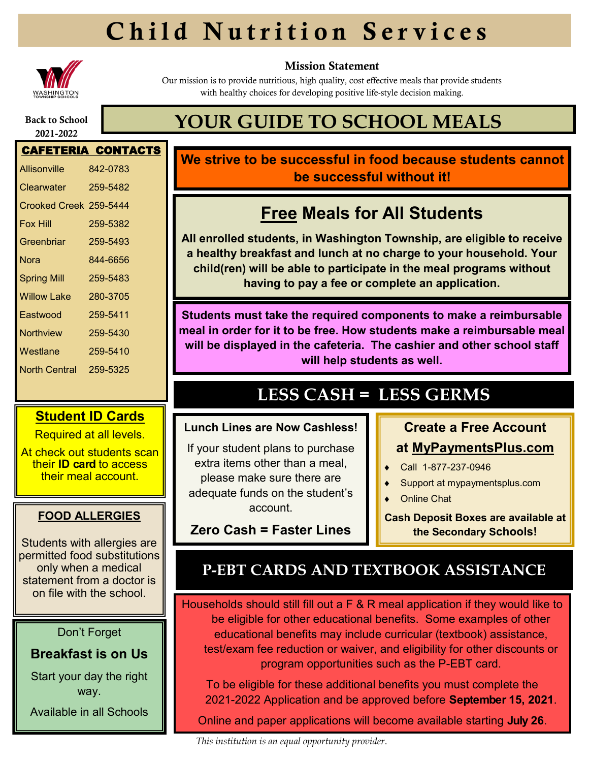# Child Nutrition Services



#### Mission Statement

Our mission is to provide nutritious, high quality, cost effective meals that provide students with healthy choices for developing positive life-style decision making.

#### Back to School 2021-2022

## **YOUR GUIDE TO SCHOOL MEALS**

### CAFETERIA CONTACTS Allisonville 842-0783 Clearwater 259-5482 Crooked Creek 259-5444 Fox Hill 259-5382 Greenbriar 259-5493 Nora 844-6656 Spring Mill 259-5483 Willow Lake 280-3705 Eastwood 259-5411 Northview 259-5430 Westlane 259-5410 North Central 259-5325

#### **Student ID Cards**

Required at all levels.

At check out students scan their **ID card** to access their meal account.

#### **FOOD ALLERGIES**

Students with allergies are permitted food substitutions only when a medical statement from a doctor is on file with the school.

#### Don't Forget

#### **Breakfast is on Us**

Start your day the right way.

Available in all Schools

### **We strive to be successful in food because students cannot be successful without it!**

### **Free Meals for All Students**

**All enrolled students, in Washington Township, are eligible to receive a healthy breakfast and lunch at no charge to your household. Your child(ren) will be able to participate in the meal programs without having to pay a fee or complete an application.**

**Students must take the required components to make a reimbursable meal in order for it to be free. How students make a reimbursable meal will be displayed in the cafeteria. The cashier and other school staff will help students as well.**

### **LESS CASH = LESS GERMS**

#### **Lunch Lines are Now Cashless!**

If your student plans to purchase extra items other than a meal please make sure there are adequate funds on the student's account.

**Zero Cash = Faster Lines**

### **Create a Free Account at MyPaymentsPlus.com**

- Call 1-877-237-0946
- Support at mypaymentsplus.com
- ◆ Online Chat

**Cash Deposit Boxes are available at the Secondary Schools!**

### **P-EBT CARDS AND TEXTBOOK ASSISTANCE**

Households should still fill out a F & R meal application if they would like to be eligible for other educational benefits. Some examples of other educational benefits may include curricular (textbook) assistance, test/exam fee reduction or waiver, and eligibility for other discounts or program opportunities such as the P-EBT card.

To be eligible for these additional benefits you must complete the 2021-2022 Application and be approved before **September 15, 2021**.

Online and paper applications will become available starting **July 26**.

*This institution is an equal opportunity provider*.